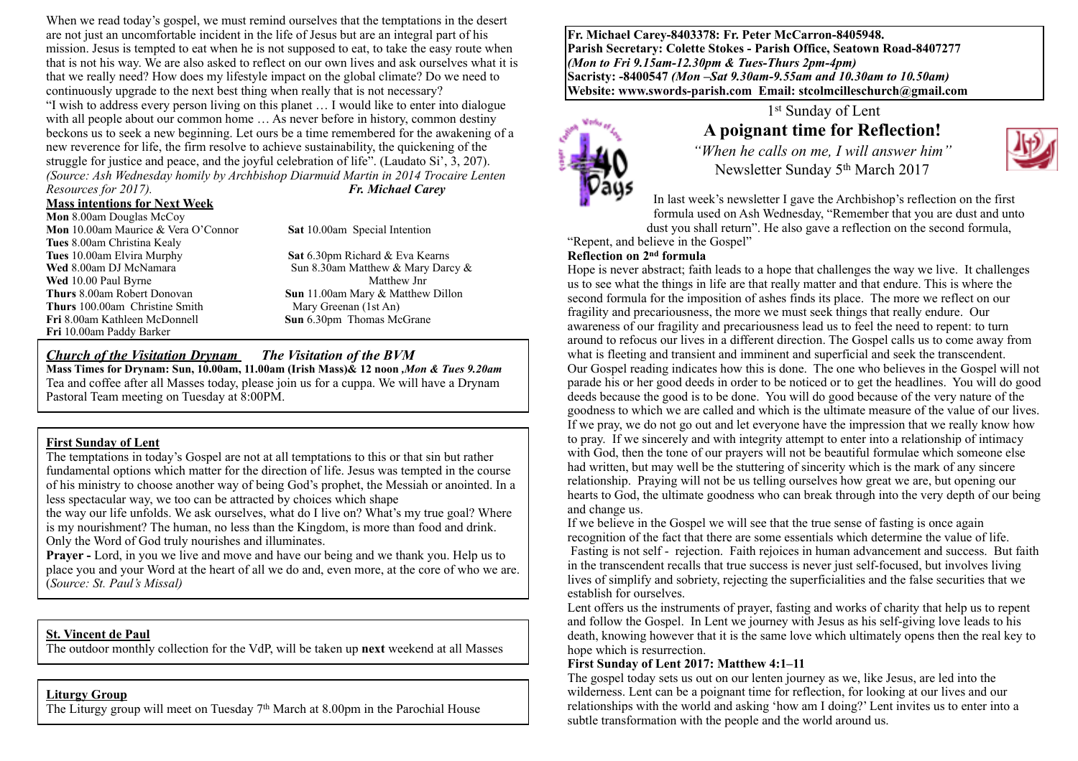When we read today's gospel, we must remind ourselves that the temptations in the desert are not just an uncomfortable incident in the life of Jesus but are an integral part of his mission. Jesus is tempted to eat when he is not supposed to eat, to take the easy route when that is not his way. We are also asked to reflect on our own lives and ask ourselves what it is that we really need? How does my lifestyle impact on the global climate? Do we need to continuously upgrade to the next best thing when really that is not necessary? "I wish to address every person living on this planet … I would like to enter into dialogue with all people about our common home ... As never before in history, common destiny beckons us to seek a new beginning. Let ours be a time remembered for the awakening of a new reverence for life, the firm resolve to achieve sustainability, the quickening of the struggle for justice and peace, and the joyful celebration of life". (Laudato Si', 3, 207). *(Source: Ash Wednesday homily by Archbishop Diarmuid Martin in 2014 Trocaire Lenten Resources for 2017). Fr. Michael Carey*

## **Mass intentions for Next Week**

**Mon** 8.00am Douglas McCoy **Mon** 10.00am Maurice & Vera O'Connor **Sat** 10.00am Special Intention **Tues** 8.00am Christina Kealy **Tues** 10.00am Elvira Murphy **Sat** 6.30pm Richard & Eva Kearns **Wed** 8.00am DJ McNamara Sun 8.30am Matthew & Mary Darcy & Wed 10.00 Paul Byrne Sun 8.30am Matthew Jnr **Wed** 10.00 Paul Byrne **Thurs** 8.00am Robert Donovan **Sun** 11.00am Mary & Matthew Dillon **Thurs** 100.00am Christine Smith Mary Greenan (1st An) **Fri** 8.00am Kathleen McDonnell **Sun** 6.30pm Thomas McGrane **Fri** 10.00am Paddy Barker

### *Church of the Visitation Drynam**The Visitation of the BVM*

**Mass Times for Drynam: Sun, 10.00am, 11.00am (Irish Mass)& 12 noon** *,Mon & Tues 9.20am*  Tea and coffee after all Masses today, please join us for a cuppa. We will have a Drynam Pastoral Team meeting on Tuesday at 8:00PM.

#### **First Sunday of Lent**

The temptations in today's Gospel are not at all temptations to this or that sin but rather fundamental options which matter for the direction of life. Jesus was tempted in the course of his ministry to choose another way of being God's prophet, the Messiah or anointed. In a less spectacular way, we too can be attracted by choices which shape

the way our life unfolds. We ask ourselves, what do I live on? What's my true goal? Where is my nourishment? The human, no less than the Kingdom, is more than food and drink. Only the Word of God truly nourishes and illuminates.

**Prayer** - Lord, in you we live and move and have our being and we thank you. Help us to place you and your Word at the heart of all we do and, even more, at the core of who we are. (*Source: St. Paul's Missal)*

#### **St. Vincent de Paul**

The outdoor monthly collection for the VdP, will be taken up **next** weekend at all Masses

## **Liturgy Group**

The Liturgy group will meet on Tuesday 7th March at 8.00pm in the Parochial House

**Fr. Michael Carey-8403378: Fr. Peter McCarron-8405948. Parish Secretary: Colette Stokes - Parish Office, Seatown Road-8407277**  *(Mon to Fri 9.15am-12.30pm & Tues-Thurs 2pm-4pm)*  **Sacristy: -8400547** *(Mon –Sat 9.30am-9.55am and 10.30am to 10.50am)* **Website: [www.swords-parish.com Email:](http://www.swords-parish.com%20%20email) stcolmcilleschurch@gmail.com**



## 1st Sunday of Lent **A poignant time for Reflection!**

*"When he calls on me, I will answer him"*  Newsletter Sunday 5th March 2017



In last week's newsletter I gave the Archbishop's reflection on the first formula used on Ash Wednesday, "Remember that you are dust and unto dust you shall return". He also gave a reflection on the second formula,

"Repent, and believe in the Gospel"

#### **Reflection on 2nd formula**

Hope is never abstract; faith leads to a hope that challenges the way we live. It challenges us to see what the things in life are that really matter and that endure. This is where the second formula for the imposition of ashes finds its place. The more we reflect on our fragility and precariousness, the more we must seek things that really endure. Our awareness of our fragility and precariousness lead us to feel the need to repent: to turn around to refocus our lives in a different direction. The Gospel calls us to come away from what is fleeting and transient and imminent and superficial and seek the transcendent. Our Gospel reading indicates how this is done. The one who believes in the Gospel will not parade his or her good deeds in order to be noticed or to get the headlines. You will do good deeds because the good is to be done. You will do good because of the very nature of the goodness to which we are called and which is the ultimate measure of the value of our lives. If we pray, we do not go out and let everyone have the impression that we really know how to pray. If we sincerely and with integrity attempt to enter into a relationship of intimacy with God, then the tone of our prayers will not be beautiful formulae which someone else had written, but may well be the stuttering of sincerity which is the mark of any sincere relationship. Praying will not be us telling ourselves how great we are, but opening our hearts to God, the ultimate goodness who can break through into the very depth of our being and change us.

If we believe in the Gospel we will see that the true sense of fasting is once again recognition of the fact that there are some essentials which determine the value of life. Fasting is not self - rejection. Faith rejoices in human advancement and success. But faith in the transcendent recalls that true success is never just self-focused, but involves living lives of simplify and sobriety, rejecting the superficialities and the false securities that we establish for ourselves.

Lent offers us the instruments of prayer, fasting and works of charity that help us to repent and follow the Gospel. In Lent we journey with Jesus as his self-giving love leads to his death, knowing however that it is the same love which ultimately opens then the real key to hope which is resurrection.

#### **First Sunday of Lent 2017: Matthew 4:1–11**

The gospel today sets us out on our lenten journey as we, like Jesus, are led into the wilderness. Lent can be a poignant time for reflection, for looking at our lives and our relationships with the world and asking 'how am I doing?' Lent invites us to enter into a subtle transformation with the people and the world around us.